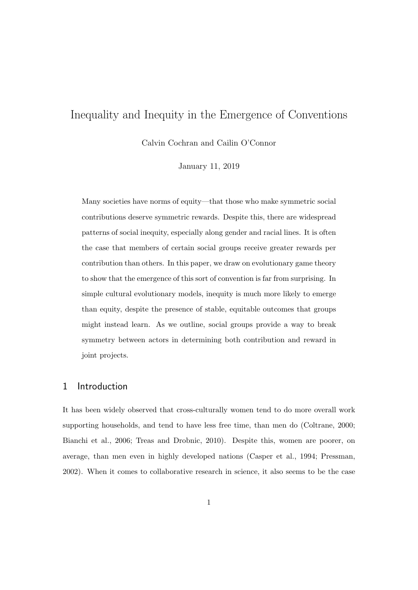# Inequality and Inequity in the Emergence of Conventions

Calvin Cochran and Cailin O'Connor

January 11, 2019

Many societies have norms of equity—that those who make symmetric social contributions deserve symmetric rewards. Despite this, there are widespread patterns of social inequity, especially along gender and racial lines. It is often the case that members of certain social groups receive greater rewards per contribution than others. In this paper, we draw on evolutionary game theory to show that the emergence of this sort of convention is far from surprising. In simple cultural evolutionary models, inequity is much more likely to emerge than equity, despite the presence of stable, equitable outcomes that groups might instead learn. As we outline, social groups provide a way to break symmetry between actors in determining both contribution and reward in joint projects.

### 1 Introduction

It has been widely observed that cross-culturally women tend to do more overall work supporting households, and tend to have less free time, than men do (Coltrane, 2000; Bianchi et al., 2006; Treas and Drobnic, 2010). Despite this, women are poorer, on average, than men even in highly developed nations (Casper et al., 1994; Pressman, 2002). When it comes to collaborative research in science, it also seems to be the case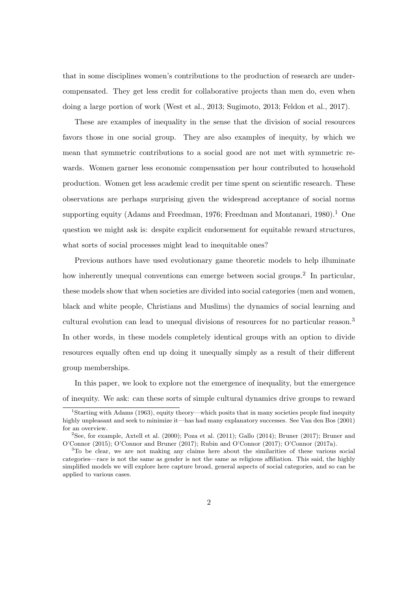that in some disciplines women's contributions to the production of research are undercompensated. They get less credit for collaborative projects than men do, even when doing a large portion of work (West et al., 2013; Sugimoto, 2013; Feldon et al., 2017).

These are examples of inequality in the sense that the division of social resources favors those in one social group. They are also examples of inequity, by which we mean that symmetric contributions to a social good are not met with symmetric rewards. Women garner less economic compensation per hour contributed to household production. Women get less academic credit per time spent on scientific research. These observations are perhaps surprising given the widespread acceptance of social norms supporting equity (Adams and Freedman, 1976; Freedman and Montanari, 1980).<sup>1</sup> One question we might ask is: despite explicit endorsement for equitable reward structures, what sorts of social processes might lead to inequitable ones?

Previous authors have used evolutionary game theoretic models to help illuminate how inherently unequal conventions can emerge between social groups.<sup>2</sup> In particular, these models show that when societies are divided into social categories (men and women, black and white people, Christians and Muslims) the dynamics of social learning and cultural evolution can lead to unequal divisions of resources for no particular reason.<sup>3</sup> In other words, in these models completely identical groups with an option to divide resources equally often end up doing it unequally simply as a result of their different group memberships.

In this paper, we look to explore not the emergence of inequality, but the emergence of inequity. We ask: can these sorts of simple cultural dynamics drive groups to reward

<sup>&</sup>lt;sup>1</sup>Starting with Adams (1963), equity theory—which posits that in many societies people find inequity highly unpleasant and seek to minimize it—has had many explanatory successes. See Van den Bos (2001) for an overview.

<sup>&</sup>lt;sup>2</sup>See, for example, Axtell et al. (2000); Poza et al. (2011); Gallo (2014); Bruner (2017); Bruner and O'Connor (2015); O'Connor and Bruner (2017); Rubin and O'Connor (2017); O'Connor (2017a).

<sup>&</sup>lt;sup>3</sup>To be clear, we are not making any claims here about the similarities of these various social categories—race is not the same as gender is not the same as religious affiliation. This said, the highly simplified models we will explore here capture broad, general aspects of social categories, and so can be applied to various cases.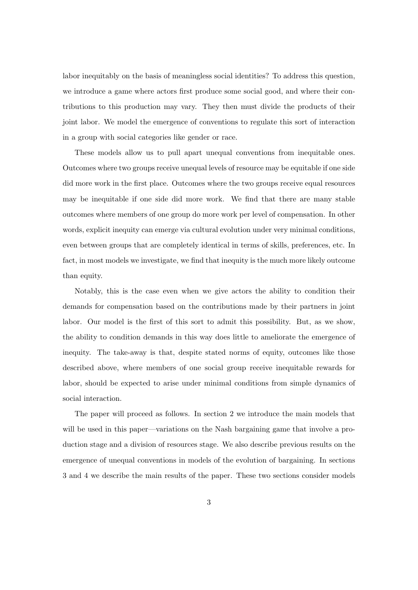labor inequitably on the basis of meaningless social identities? To address this question, we introduce a game where actors first produce some social good, and where their contributions to this production may vary. They then must divide the products of their joint labor. We model the emergence of conventions to regulate this sort of interaction in a group with social categories like gender or race.

These models allow us to pull apart unequal conventions from inequitable ones. Outcomes where two groups receive unequal levels of resource may be equitable if one side did more work in the first place. Outcomes where the two groups receive equal resources may be inequitable if one side did more work. We find that there are many stable outcomes where members of one group do more work per level of compensation. In other words, explicit inequity can emerge via cultural evolution under very minimal conditions, even between groups that are completely identical in terms of skills, preferences, etc. In fact, in most models we investigate, we find that inequity is the much more likely outcome than equity.

Notably, this is the case even when we give actors the ability to condition their demands for compensation based on the contributions made by their partners in joint labor. Our model is the first of this sort to admit this possibility. But, as we show, the ability to condition demands in this way does little to ameliorate the emergence of inequity. The take-away is that, despite stated norms of equity, outcomes like those described above, where members of one social group receive inequitable rewards for labor, should be expected to arise under minimal conditions from simple dynamics of social interaction.

The paper will proceed as follows. In section 2 we introduce the main models that will be used in this paper—variations on the Nash bargaining game that involve a production stage and a division of resources stage. We also describe previous results on the emergence of unequal conventions in models of the evolution of bargaining. In sections 3 and 4 we describe the main results of the paper. These two sections consider models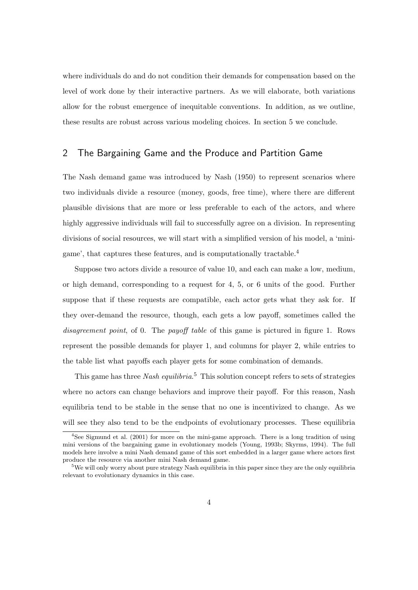where individuals do and do not condition their demands for compensation based on the level of work done by their interactive partners. As we will elaborate, both variations allow for the robust emergence of inequitable conventions. In addition, as we outline, these results are robust across various modeling choices. In section 5 we conclude.

# 2 The Bargaining Game and the Produce and Partition Game

The Nash demand game was introduced by Nash (1950) to represent scenarios where two individuals divide a resource (money, goods, free time), where there are different plausible divisions that are more or less preferable to each of the actors, and where highly aggressive individuals will fail to successfully agree on a division. In representing divisions of social resources, we will start with a simplified version of his model, a 'minigame', that captures these features, and is computationally tractable.<sup>4</sup>

Suppose two actors divide a resource of value 10, and each can make a low, medium, or high demand, corresponding to a request for 4, 5, or 6 units of the good. Further suppose that if these requests are compatible, each actor gets what they ask for. If they over-demand the resource, though, each gets a low payoff, sometimes called the disagreement point, of 0. The payoff table of this game is pictured in figure 1. Rows represent the possible demands for player 1, and columns for player 2, while entries to the table list what payoffs each player gets for some combination of demands.

This game has three Nash equilibria.<sup>5</sup> This solution concept refers to sets of strategies where no actors can change behaviors and improve their payoff. For this reason, Nash equilibria tend to be stable in the sense that no one is incentivized to change. As we will see they also tend to be the endpoints of evolutionary processes. These equilibria

<sup>&</sup>lt;sup>4</sup>See Sigmund et al. (2001) for more on the mini-game approach. There is a long tradition of using mini versions of the bargaining game in evolutionary models (Young, 1993b; Skyrms, 1994). The full models here involve a mini Nash demand game of this sort embedded in a larger game where actors first produce the resource via another mini Nash demand game.

<sup>&</sup>lt;sup>5</sup>We will only worry about pure strategy Nash equilibria in this paper since they are the only equilibria relevant to evolutionary dynamics in this case.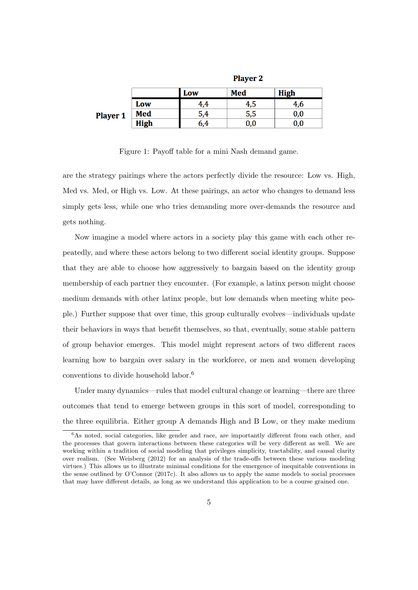|                 |             | <b>Player 2</b>           |     |     |  |  |  |  |
|-----------------|-------------|---------------------------|-----|-----|--|--|--|--|
|                 |             | Med<br><b>High</b><br>Low |     |     |  |  |  |  |
|                 | Low         | ł.4                       | 4,5 | 4,6 |  |  |  |  |
| <b>Player 1</b> | Med         | 5,4                       | 5,5 | 0,0 |  |  |  |  |
|                 | <b>High</b> | 6.4                       | 0,0 | 0,0 |  |  |  |  |

Figure 1: Payoff table for a mini Nash demand game.

are the strategy pairings where the actors perfectly divide the resource: Low vs. High, Med vs. Med, or High vs. Low. At these pairings, an actor who changes to demand less simply gets less, while one who tries demanding more over-demands the resource and gets nothing.

Now imagine a model where actors in a society play this game with each other repeatedly, and where these actors belong to two different social identity groups. Suppose that they are able to choose how aggressively to bargain based on the identity group membership of each partner they encounter. (For example, a latinx person might choose medium demands with other latinx people, but low demands when meeting white people.) Further suppose that over time, this group culturally evolves—individuals update their behaviors in ways that benefit themselves, so that, eventually, some stable pattern of group behavior emerges. This model might represent actors of two different races learning how to bargain over salary in the workforce, or men and women developing conventions to divide household labor.<sup>6</sup>

Under many dynamics—rules that model cultural change or learning—there are three outcomes that tend to emerge between groups in this sort of model, corresponding to the three equilibria. Either group A demands High and B Low, or they make medium

<sup>&</sup>lt;sup>6</sup>As noted, social categories, like gender and race, are importantly different from each other, and the processes that govern interactions between these categories will be very different as well. We are working within a tradition of social modeling that privileges simplicity, tractability, and causal clarity over realism. (See Weisberg (2012) for an analysis of the trade-offs between these various modeling virtues.) This allows us to illustrate minimal conditions for the emergence of inequitable conventions in the sense outlined by O'Connor (2017c). It also allows us to apply the same models to social processes that may have different details, as long as we understand this application to be a course grained one.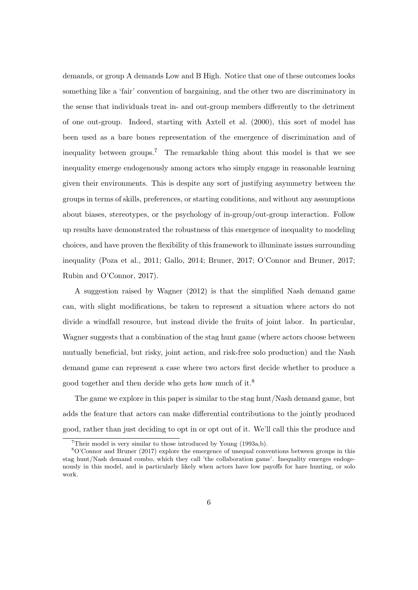demands, or group A demands Low and B High. Notice that one of these outcomes looks something like a 'fair' convention of bargaining, and the other two are discriminatory in the sense that individuals treat in- and out-group members differently to the detriment of one out-group. Indeed, starting with Axtell et al. (2000), this sort of model has been used as a bare bones representation of the emergence of discrimination and of inequality between groups.<sup>7</sup> The remarkable thing about this model is that we see inequality emerge endogenously among actors who simply engage in reasonable learning given their environments. This is despite any sort of justifying asymmetry between the groups in terms of skills, preferences, or starting conditions, and without any assumptions about biases, stereotypes, or the psychology of in-group/out-group interaction. Follow up results have demonstrated the robustness of this emergence of inequality to modeling choices, and have proven the flexibility of this framework to illuminate issues surrounding inequality (Poza et al., 2011; Gallo, 2014; Bruner, 2017; O'Connor and Bruner, 2017; Rubin and O'Connor, 2017).

A suggestion raised by Wagner (2012) is that the simplified Nash demand game can, with slight modifications, be taken to represent a situation where actors do not divide a windfall resource, but instead divide the fruits of joint labor. In particular, Wagner suggests that a combination of the stag hunt game (where actors choose between mutually beneficial, but risky, joint action, and risk-free solo production) and the Nash demand game can represent a case where two actors first decide whether to produce a good together and then decide who gets how much of it.<sup>8</sup>

The game we explore in this paper is similar to the stag hunt/Nash demand game, but adds the feature that actors can make differential contributions to the jointly produced good, rather than just deciding to opt in or opt out of it. We'll call this the produce and

 $7$ Their model is very similar to those introduced by Young (1993a,b).

<sup>8</sup>O'Connor and Bruner (2017) explore the emergence of unequal conventions between groups in this stag hunt/Nash demand combo, which they call 'the collaboration game'. Inequality emerges endogenously in this model, and is particularly likely when actors have low payoffs for hare hunting, or solo work.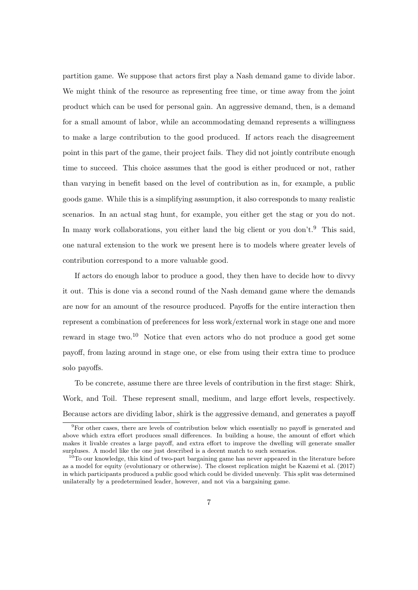partition game. We suppose that actors first play a Nash demand game to divide labor. We might think of the resource as representing free time, or time away from the joint product which can be used for personal gain. An aggressive demand, then, is a demand for a small amount of labor, while an accommodating demand represents a willingness to make a large contribution to the good produced. If actors reach the disagreement point in this part of the game, their project fails. They did not jointly contribute enough time to succeed. This choice assumes that the good is either produced or not, rather than varying in benefit based on the level of contribution as in, for example, a public goods game. While this is a simplifying assumption, it also corresponds to many realistic scenarios. In an actual stag hunt, for example, you either get the stag or you do not. In many work collaborations, you either land the big client or you don't.<sup>9</sup> This said, one natural extension to the work we present here is to models where greater levels of contribution correspond to a more valuable good.

If actors do enough labor to produce a good, they then have to decide how to divvy it out. This is done via a second round of the Nash demand game where the demands are now for an amount of the resource produced. Payoffs for the entire interaction then represent a combination of preferences for less work/external work in stage one and more reward in stage two.<sup>10</sup> Notice that even actors who do not produce a good get some payoff, from lazing around in stage one, or else from using their extra time to produce solo payoffs.

To be concrete, assume there are three levels of contribution in the first stage: Shirk, Work, and Toil. These represent small, medium, and large effort levels, respectively. Because actors are dividing labor, shirk is the aggressive demand, and generates a payoff

<sup>9</sup>For other cases, there are levels of contribution below which essentially no payoff is generated and above which extra effort produces small differences. In building a house, the amount of effort which makes it livable creates a large payoff, and extra effort to improve the dwelling will generate smaller surpluses. A model like the one just described is a decent match to such scenarios.

 $10$ To our knowledge, this kind of two-part bargaining game has never appeared in the literature before as a model for equity (evolutionary or otherwise). The closest replication might be Kazemi et al. (2017) in which participants produced a public good which could be divided unevenly. This split was determined unilaterally by a predetermined leader, however, and not via a bargaining game.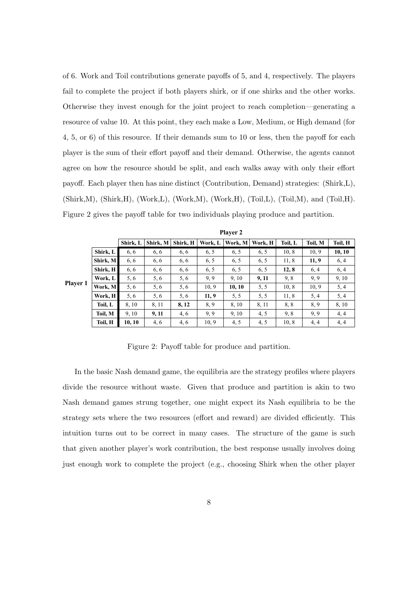of 6. Work and Toil contributions generate payoffs of 5, and 4, respectively. The players fail to complete the project if both players shirk, or if one shirks and the other works. Otherwise they invest enough for the joint project to reach completion—generating a resource of value 10. At this point, they each make a Low, Medium, or High demand (for 4, 5, or 6) of this resource. If their demands sum to 10 or less, then the payoff for each player is the sum of their effort payoff and their demand. Otherwise, the agents cannot agree on how the resource should be split, and each walks away with only their effort payoff. Each player then has nine distinct (Contribution, Demand) strategies: (Shirk,L), (Shirk,M), (Shirk,H), (Work,L), (Work,M), (Work,H), (Toil,L), (Toil,M), and (Toil,H). Figure 2 gives the payoff table for two individuals playing produce and partition.

|          |          |          | Player 2 |          |         |         |         |         |         |         |
|----------|----------|----------|----------|----------|---------|---------|---------|---------|---------|---------|
|          |          | Shirk, L | Shirk, M | Shirk, H | Work, L | Work, M | Work, H | Toil, L | Toil, M | Toil, H |
|          | Shirk, L | 6, 6     | 6, 6     | 6, 6     | 6, 5    | 6, 5    | 6, 5    | 10, 8   | 10, 9   | 10, 10  |
|          | Shirk, M | 6, 6     | 6, 6     | 6, 6     | 6, 5    | 6, 5    | 6, 5    | 11, 8   | 11, 9   | 6, 4    |
|          | Shirk, H | 6, 6     | 6, 6     | 6, 6     | 6, 5    | 6, 5    | 6, 5    | 12, 8   | 6, 4    | 6, 4    |
|          | Work, L  | 5.6      | 5, 6     | 5, 6     | 9.9     | 9.10    | 9, 11   | 9, 8    | 9.9     | 9, 10   |
| Player 1 | Work, M  | 5, 6     | 5, 6     | 5, 6     | 10, 9   | 10, 10  | 5, 5    | 10, 8   | 10, 9   | 5, 4    |
|          | Work, H  | 5, 6     | 5, 6     | 5, 6     | 11, 9   | 5, 5    | 5, 5    | 11, 8   | 5, 4    | 5, 4    |
|          | Toil, L  | 8, 10    | 8, 11    | 8, 12    | 8,9     | 8, 10   | 8, 11   | 8,8     | 8.9     | 8, 10   |
|          | Toil, M  | 9, 10    | 9, 11    | 4, 6     | 9.9     | 9, 10   | 4.5     | 9, 8    | 9.9     | 4, 4    |
|          | Toil, H  | 10, 10   | 4, 6     | 4, 6     | 10, 9   | 4, 5    | 4, 5    | 10, 8   | 4, 4    | 4, 4    |

Figure 2: Payoff table for produce and partition.

In the basic Nash demand game, the equilibria are the strategy profiles where players divide the resource without waste. Given that produce and partition is akin to two Nash demand games strung together, one might expect its Nash equilibria to be the strategy sets where the two resources (effort and reward) are divided efficiently. This intuition turns out to be correct in many cases. The structure of the game is such that given another player's work contribution, the best response usually involves doing just enough work to complete the project (e.g., choosing Shirk when the other player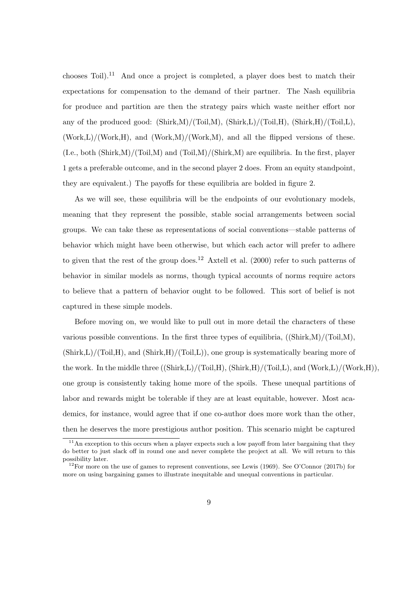chooses Toil).<sup>11</sup> And once a project is completed, a player does best to match their expectations for compensation to the demand of their partner. The Nash equilibria for produce and partition are then the strategy pairs which waste neither effort nor any of the produced good:  $(\text{Shirk},M)/(\text{Toi},M)$ ,  $(\text{Shirk},L)/(\text{Toi},H)$ ,  $(\text{Shirk},H)/(\text{Toi},L)$ ,  $(Work, L)/(Work, H)$ , and  $(Work, M)/(Work, M)$ , and all the flipped versions of these.  $(I.e., both (Shirk,M)/(Toil,M) and (Toil,M)/(Shirk,M) are equilibria. In the first, player$ 1 gets a preferable outcome, and in the second player 2 does. From an equity standpoint, they are equivalent.) The payoffs for these equilibria are bolded in figure 2.

As we will see, these equilibria will be the endpoints of our evolutionary models, meaning that they represent the possible, stable social arrangements between social groups. We can take these as representations of social conventions—stable patterns of behavior which might have been otherwise, but which each actor will prefer to adhere to given that the rest of the group does.<sup>12</sup> Axtell et al.  $(2000)$  refer to such patterns of behavior in similar models as norms, though typical accounts of norms require actors to believe that a pattern of behavior ought to be followed. This sort of belief is not captured in these simple models.

Before moving on, we would like to pull out in more detail the characters of these various possible conventions. In the first three types of equilibria, ((Shirk,M)/(Toil,M),  $(\text{Shirk},L)/(\text{Toil},H)$ , and  $(\text{Shirk},H)/(\text{Toil},L)$ , one group is systematically bearing more of the work. In the middle three  $((Shirk, L)/(Toil, H), (Shirk, H)/(Toil, L),$  and  $(Work, L)/(Work, H)),$ one group is consistently taking home more of the spoils. These unequal partitions of labor and rewards might be tolerable if they are at least equitable, however. Most academics, for instance, would agree that if one co-author does more work than the other, then he deserves the more prestigious author position. This scenario might be captured

 $11$ An exception to this occurs when a player expects such a low payoff from later bargaining that they do better to just slack off in round one and never complete the project at all. We will return to this possibility later.

<sup>&</sup>lt;sup>12</sup>For more on the use of games to represent conventions, see Lewis (1969). See O'Connor (2017b) for more on using bargaining games to illustrate inequitable and unequal conventions in particular.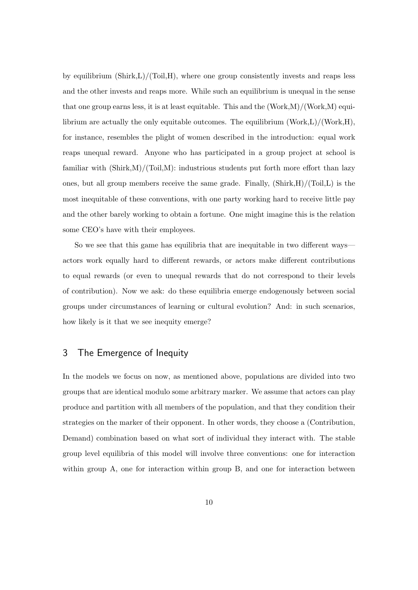by equilibrium  $(\text{Shirk},L)/(\text{Toil},H)$ , where one group consistently invests and reaps less and the other invests and reaps more. While such an equilibrium is unequal in the sense that one group earns less, it is at least equitable. This and the  $(Work,M)/(Work,M)$  equilibrium are actually the only equitable outcomes. The equilibrium  $(Work, L)/(Work, H)$ , for instance, resembles the plight of women described in the introduction: equal work reaps unequal reward. Anyone who has participated in a group project at school is familiar with  $(Shirk,M)/(Toi,M)$ : industrious students put forth more effort than lazy ones, but all group members receive the same grade. Finally,  $(\text{Shift}, H)/(\text{Tail}, L)$  is the most inequitable of these conventions, with one party working hard to receive little pay and the other barely working to obtain a fortune. One might imagine this is the relation some CEO's have with their employees.

So we see that this game has equilibria that are inequitable in two different ways actors work equally hard to different rewards, or actors make different contributions to equal rewards (or even to unequal rewards that do not correspond to their levels of contribution). Now we ask: do these equilibria emerge endogenously between social groups under circumstances of learning or cultural evolution? And: in such scenarios, how likely is it that we see inequity emerge?

# 3 The Emergence of Inequity

In the models we focus on now, as mentioned above, populations are divided into two groups that are identical modulo some arbitrary marker. We assume that actors can play produce and partition with all members of the population, and that they condition their strategies on the marker of their opponent. In other words, they choose a (Contribution, Demand) combination based on what sort of individual they interact with. The stable group level equilibria of this model will involve three conventions: one for interaction within group A, one for interaction within group B, and one for interaction between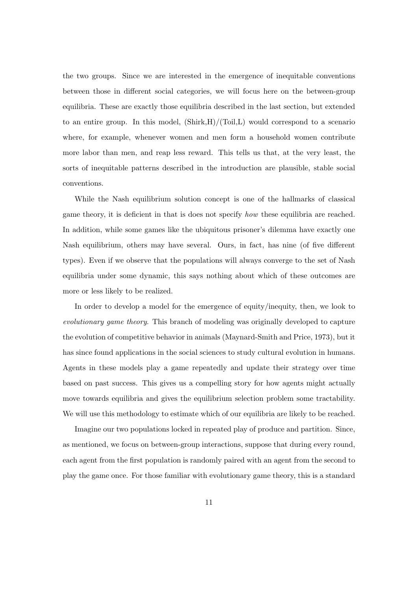the two groups. Since we are interested in the emergence of inequitable conventions between those in different social categories, we will focus here on the between-group equilibria. These are exactly those equilibria described in the last section, but extended to an entire group. In this model,  $(\text{Shirk},H)/(\text{Toil},L)$  would correspond to a scenario where, for example, whenever women and men form a household women contribute more labor than men, and reap less reward. This tells us that, at the very least, the sorts of inequitable patterns described in the introduction are plausible, stable social conventions.

While the Nash equilibrium solution concept is one of the hallmarks of classical game theory, it is deficient in that is does not specify how these equilibria are reached. In addition, while some games like the ubiquitous prisoner's dilemma have exactly one Nash equilibrium, others may have several. Ours, in fact, has nine (of five different types). Even if we observe that the populations will always converge to the set of Nash equilibria under some dynamic, this says nothing about which of these outcomes are more or less likely to be realized.

In order to develop a model for the emergence of equity/inequity, then, we look to evolutionary game theory. This branch of modeling was originally developed to capture the evolution of competitive behavior in animals (Maynard-Smith and Price, 1973), but it has since found applications in the social sciences to study cultural evolution in humans. Agents in these models play a game repeatedly and update their strategy over time based on past success. This gives us a compelling story for how agents might actually move towards equilibria and gives the equilibrium selection problem some tractability. We will use this methodology to estimate which of our equilibria are likely to be reached.

Imagine our two populations locked in repeated play of produce and partition. Since, as mentioned, we focus on between-group interactions, suppose that during every round, each agent from the first population is randomly paired with an agent from the second to play the game once. For those familiar with evolutionary game theory, this is a standard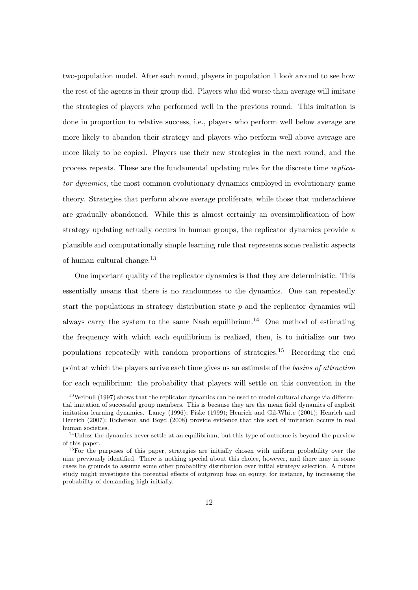two-population model. After each round, players in population 1 look around to see how the rest of the agents in their group did. Players who did worse than average will imitate the strategies of players who performed well in the previous round. This imitation is done in proportion to relative success, i.e., players who perform well below average are more likely to abandon their strategy and players who perform well above average are more likely to be copied. Players use their new strategies in the next round, and the process repeats. These are the fundamental updating rules for the discrete time replicator dynamics, the most common evolutionary dynamics employed in evolutionary game theory. Strategies that perform above average proliferate, while those that underachieve are gradually abandoned. While this is almost certainly an oversimplification of how strategy updating actually occurs in human groups, the replicator dynamics provide a plausible and computationally simple learning rule that represents some realistic aspects of human cultural change.<sup>13</sup>

One important quality of the replicator dynamics is that they are deterministic. This essentially means that there is no randomness to the dynamics. One can repeatedly start the populations in strategy distribution state  $p$  and the replicator dynamics will always carry the system to the same Nash equilibrium.<sup>14</sup> One method of estimating the frequency with which each equilibrium is realized, then, is to initialize our two populations repeatedly with random proportions of strategies.<sup>15</sup> Recording the end point at which the players arrive each time gives us an estimate of the basins of attraction for each equilibrium: the probability that players will settle on this convention in the

 $13$ Weibull (1997) shows that the replicator dynamics can be used to model cultural change via differential imitation of successful group members. This is because they are the mean field dynamics of explicit imitation learning dynamics. Lancy (1996); Fiske (1999); Henrich and Gil-White (2001); Henrich and Henrich (2007); Richerson and Boyd (2008) provide evidence that this sort of imitation occurs in real human societies.

<sup>&</sup>lt;sup>14</sup>Unless the dynamics never settle at an equilibrium, but this type of outcome is beyond the purview of this paper.

<sup>&</sup>lt;sup>15</sup>For the purposes of this paper, strategies are initially chosen with uniform probability over the nine previously identified. There is nothing special about this choice, however, and there may in some cases be grounds to assume some other probability distribution over initial strategy selection. A future study might investigate the potential effects of outgroup bias on equity, for instance, by increasing the probability of demanding high initially.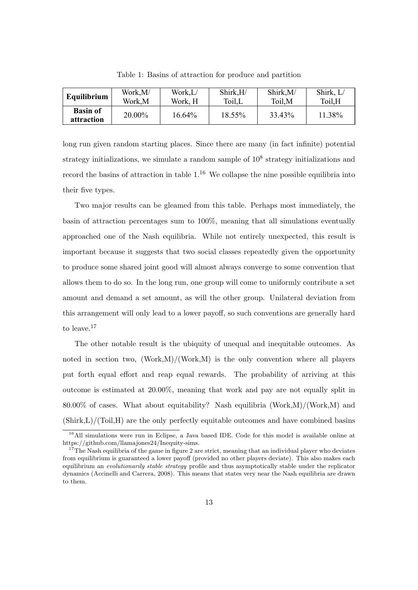| Equilibrium                   | Work,M/ | Work,L/ | Shirk,H/ | Shirk, M/ | Shirk, L/ |
|-------------------------------|---------|---------|----------|-----------|-----------|
|                               | Work,M  | Work, H | Toil,L   | Toil, M   | Toil,H    |
| <b>Basin of</b><br>attraction | 20.00%  | 16.64%  | 18.55%   | 33.43%    | 11.38%    |

Table 1: Basins of attraction for produce and partition

long run given random starting places. Since there are many (in fact infinite) potential strategy initializations, we simulate a random sample of  $10<sup>8</sup>$  strategy initializations and record the basins of attraction in table  $1<sup>16</sup>$  We collapse the nine possible equilibria into their five types.

Two major results can be gleamed from this table. Perhaps most immediately, the basin of attraction percentages sum to 100%, meaning that all simulations eventually approached one of the Nash equilibria. While not entirely unexpected, this result is important because it suggests that two social classes repeatedly given the opportunity to produce some shared joint good will almost always converge to some convention that allows them to do so. In the long run, one group will come to uniformly contribute a set amount and demand a set amount, as will the other group. Unilateral deviation from this arrangement will only lead to a lower payoff, so such conventions are generally hard to leave.<sup>17</sup>

The other notable result is the ubiquity of unequal and inequitable outcomes. As noted in section two,  $(\text{Work}, M)/(\text{Work}, M)$  is the only convention where all players put forth equal effort and reap equal rewards. The probability of arriving at this outcome is estimated at 20.00%, meaning that work and pay are not equally split in  $80.00\%$  of cases. What about equitability? Nash equilibria (Work,M)/(Work,M) and (Shirk,L)/(Toil,H) are the only perfectly equitable outcomes and have combined basins

<sup>&</sup>lt;sup>16</sup>All simulations were run in Eclipse, a Java based IDE. Code for this model is available online at https://github.com/llamajones24/Inequity-sims.

<sup>&</sup>lt;sup>17</sup>The Nash equilibria of the game in figure 2 are strict, meaning that an individual player who deviates from equilibrium is guaranteed a lower payoff (provided no other players deviate). This also makes each equilibrium an *evolutionarily stable strategy* profile and thus asymptotically stable under the replicator dynamics (Accinelli and Carrera, 2008). This means that states very near the Nash equilibria are drawn to them.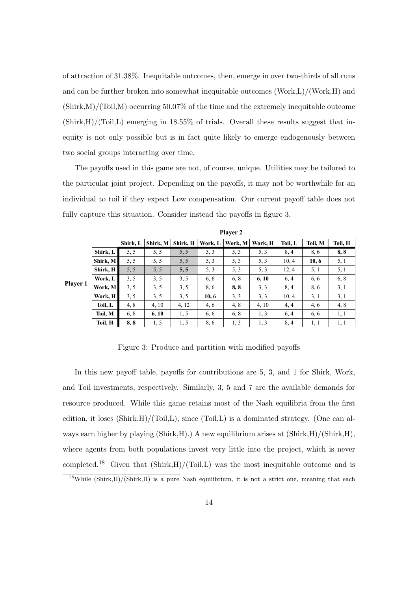of attraction of 31.38%. Inequitable outcomes, then, emerge in over two-thirds of all runs and can be further broken into somewhat inequitable outcomes (Work,L)/(Work,H) and  $(Shirk,M)/(Toi,M)$  occurring 50.07% of the time and the extremely inequitable outcome  $(Shirk,H)/(Toi, L)$  emerging in 18.55% of trials. Overall these results suggest that inequity is not only possible but is in fact quite likely to emerge endogenously between two social groups interacting over time.

The payoffs used in this game are not, of course, unique. Utilities may be tailored to the particular joint project. Depending on the payoffs, it may not be worthwhile for an individual to toil if they expect Low compensation. Our current payoff table does not fully capture this situation. Consider instead the payoffs in figure 3.

|          |          |          | <b>Player 2</b> |          |         |         |         |         |         |         |
|----------|----------|----------|-----------------|----------|---------|---------|---------|---------|---------|---------|
|          |          | Shirk, L | Shirk, M        | Shirk, H | Work, L | Work, M | Work, H | Toil, L | Toil, M | Toil, H |
|          | Shirk, L | 5, 5     | 5, 5            | 5, 5     | 5, 3    | 5, 3    | 5, 3    | 8, 4    | 8,6     | 8,8     |
|          | Shirk, M | 5, 5     | 5, 5            | 5, 5     | 5, 3    | 5, 3    | 5, 3    | 10, 4   | 10, 6   | 5, 1    |
|          | Shirk, H | 5, 5     | 5, 5            | 5, 5     | 5, 3    | 5, 3    | 5, 3    | 12, 4   | 5, 1    | 5, 1    |
|          | Work, L  | 3, 5     | 3, 5            | 3, 5     | 6, 6    | 6, 8    | 6, 10   | 6, 4    | 6,6     | 6, 8    |
| Player 1 | Work, M  | 3, 5     | 3, 5            | 3, 5     | 8,6     | 8,8     | 3, 3    | 8, 4    | 8.6     | 3, 1    |
|          | Work, H  | 3, 5     | 3, 5            | 3, 5     | 10, 6   | 3, 3    | 3, 3    | 10, 4   | 3, 1    | 3, 1    |
|          | Toil, L  | 4,8      | 4, 10           | 4, 12    | 4, 6    | 4,8     | 4, 10   | 4, 4    | 4,6     | 4, 8    |
|          | Toil, M  | 6, 8     | 6, 10           | 1, 5     | 6, 6    | 6, 8    | 1, 3    | 6, 4    | 6, 6    | 1, 1    |
|          | Toil, H  | 8,8      | 1, 5            | 1, 5     | 8,6     | 1, 3    | 1, 3    | 8, 4    | 1, 1    | 1, 1    |

Figure 3: Produce and partition with modified payoffs

In this new payoff table, payoffs for contributions are 5, 3, and 1 for Shirk, Work, and Toil investments, respectively. Similarly, 3, 5 and 7 are the available demands for resource produced. While this game retains most of the Nash equilibria from the first edition, it loses  $(Shirk, H)/(Toi, L)$ , since  $(Toi, L)$  is a dominated strategy. (One can always earn higher by playing  $(Shirk, H)$ .) A new equilibrium arises at  $(Shirk, H)/(Shirk, H)$ , where agents from both populations invest very little into the project, which is never completed.<sup>18</sup> Given that  $(\text{Shirk},H)/(\text{Toil},L)$  was the most inequitable outcome and is

<sup>&</sup>lt;sup>18</sup>While (Shirk,H)/(Shirk,H) is a pure Nash equilibrium, it is not a strict one, meaning that each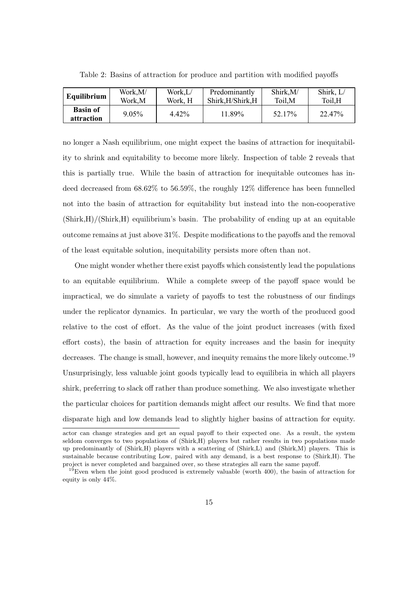| Equilibrium $ $               | Work,M/  | Work,L/ | Predominantly     | Shirk, M/ | Shirk, L/ |
|-------------------------------|----------|---------|-------------------|-----------|-----------|
|                               | Work,M   | Work. H | Shirk, H/Shirk, H | Toil,M    | Toil,H    |
| <b>Basin of</b><br>attraction | $9.05\%$ | 4.42%   | 11.89%            | 52.17%    | 22.47%    |

Table 2: Basins of attraction for produce and partition with modified payoffs

no longer a Nash equilibrium, one might expect the basins of attraction for inequitability to shrink and equitability to become more likely. Inspection of table 2 reveals that this is partially true. While the basin of attraction for inequitable outcomes has indeed decreased from 68.62% to 56.59%, the roughly 12% difference has been funnelled not into the basin of attraction for equitability but instead into the non-cooperative  $(Shirk, H)/(Shirk, H)$  equilibrium's basin. The probability of ending up at an equitable outcome remains at just above 31%. Despite modifications to the payoffs and the removal of the least equitable solution, inequitability persists more often than not.

One might wonder whether there exist payoffs which consistently lead the populations to an equitable equilibrium. While a complete sweep of the payoff space would be impractical, we do simulate a variety of payoffs to test the robustness of our findings under the replicator dynamics. In particular, we vary the worth of the produced good relative to the cost of effort. As the value of the joint product increases (with fixed effort costs), the basin of attraction for equity increases and the basin for inequity decreases. The change is small, however, and inequity remains the more likely outcome.<sup>19</sup> Unsurprisingly, less valuable joint goods typically lead to equilibria in which all players shirk, preferring to slack off rather than produce something. We also investigate whether the particular choices for partition demands might affect our results. We find that more disparate high and low demands lead to slightly higher basins of attraction for equity.

actor can change strategies and get an equal payoff to their expected one. As a result, the system seldom converges to two populations of (Shirk,H) players but rather results in two populations made up predominantly of (Shirk,H) players with a scattering of (Shirk,L) and (Shirk,M) players. This is sustainable because contributing Low, paired with any demand, is a best response to (Shirk,H). The project is never completed and bargained over, so these strategies all earn the same payoff.

 $19$ Even when the joint good produced is extremely valuable (worth 400), the basin of attraction for equity is only 44%.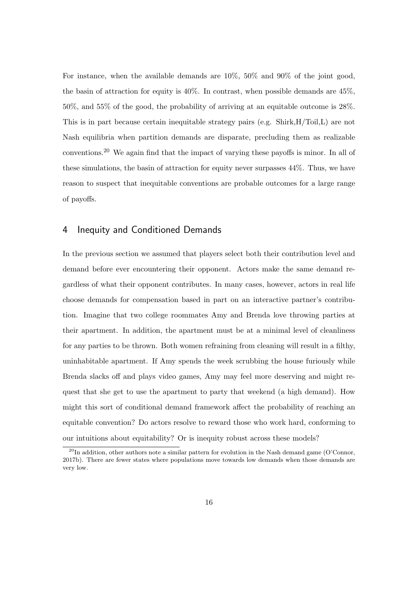For instance, when the available demands are 10%, 50% and 90% of the joint good, the basin of attraction for equity is  $40\%$ . In contrast, when possible demands are  $45\%$ , 50%, and 55% of the good, the probability of arriving at an equitable outcome is 28%. This is in part because certain inequitable strategy pairs (e.g. Shirk,H/Toil,L) are not Nash equilibria when partition demands are disparate, precluding them as realizable conventions.<sup>20</sup> We again find that the impact of varying these payoffs is minor. In all of these simulations, the basin of attraction for equity never surpasses 44%. Thus, we have reason to suspect that inequitable conventions are probable outcomes for a large range of payoffs.

### 4 Inequity and Conditioned Demands

In the previous section we assumed that players select both their contribution level and demand before ever encountering their opponent. Actors make the same demand regardless of what their opponent contributes. In many cases, however, actors in real life choose demands for compensation based in part on an interactive partner's contribution. Imagine that two college roommates Amy and Brenda love throwing parties at their apartment. In addition, the apartment must be at a minimal level of cleanliness for any parties to be thrown. Both women refraining from cleaning will result in a filthy, uninhabitable apartment. If Amy spends the week scrubbing the house furiously while Brenda slacks off and plays video games, Amy may feel more deserving and might request that she get to use the apartment to party that weekend (a high demand). How might this sort of conditional demand framework affect the probability of reaching an equitable convention? Do actors resolve to reward those who work hard, conforming to our intuitions about equitability? Or is inequity robust across these models?

 $^{20}$ In addition, other authors note a similar pattern for evolution in the Nash demand game (O'Connor, 2017b). There are fewer states where populations move towards low demands when those demands are very low.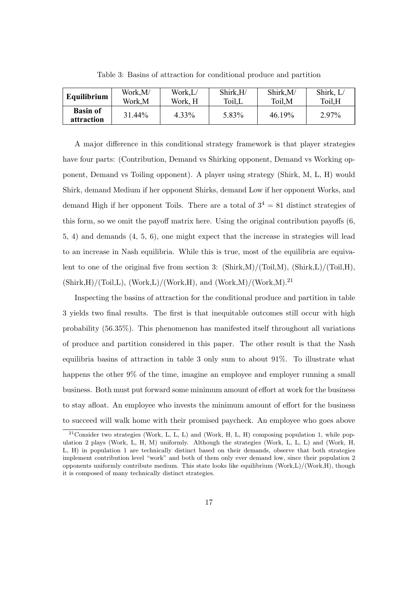| <b>Equilibrium</b>            | Work,M/ | Work,L/ | Shirk,H/ | Shirk, M/ | Shirk, L/ |
|-------------------------------|---------|---------|----------|-----------|-----------|
|                               | Work,M  | Work, H | Toil,L   | Toil, M   | Toil,H    |
| <b>Basin of</b><br>attraction | 31.44%  | 4.33%   | 5.83%    | 46.19%    | 2.97%     |

Table 3: Basins of attraction for conditional produce and partition

A major difference in this conditional strategy framework is that player strategies have four parts: (Contribution, Demand vs Shirking opponent, Demand vs Working opponent, Demand vs Toiling opponent). A player using strategy (Shirk, M, L, H) would Shirk, demand Medium if her opponent Shirks, demand Low if her opponent Works, and demand High if her opponent Toils. There are a total of  $3^4 = 81$  distinct strategies of this form, so we omit the payoff matrix here. Using the original contribution payoffs (6, 5, 4) and demands (4, 5, 6), one might expect that the increase in strategies will lead to an increase in Nash equilibria. While this is true, most of the equilibria are equivalent to one of the original five from section 3:  $(\text{Shirk},M)/(\text{Toi},M)$ ,  $(\text{Shirk},L)/(\text{Toi},H)$ ,  $(Shirk,H)/(Toi, L)$ ,  $(Work, L)/(Work, H)$ , and  $(Work, M)/(Work, M).<sup>21</sup>$ 

Inspecting the basins of attraction for the conditional produce and partition in table 3 yields two final results. The first is that inequitable outcomes still occur with high probability (56.35%). This phenomenon has manifested itself throughout all variations of produce and partition considered in this paper. The other result is that the Nash equilibria basins of attraction in table 3 only sum to about 91%. To illustrate what happens the other 9% of the time, imagine an employee and employer running a small business. Both must put forward some minimum amount of effort at work for the business to stay afloat. An employee who invests the minimum amount of effort for the business to succeed will walk home with their promised paycheck. An employee who goes above

<sup>&</sup>lt;sup>21</sup>Consider two strategies (Work, L, L, L) and (Work, H, L, H) composing population 1, while population 2 plays (Work, L, H, M) uniformly. Although the strategies (Work, L, L, L) and (Work, H, L, H) in population 1 are technically distinct based on their demands, observe that both strategies implement contribution level "work" and both of them only ever demand low, since their population 2 opponents uniformly contribute medium. This state looks like equilibrium (Work,L)/(Work,H), though it is composed of many technically distinct strategies.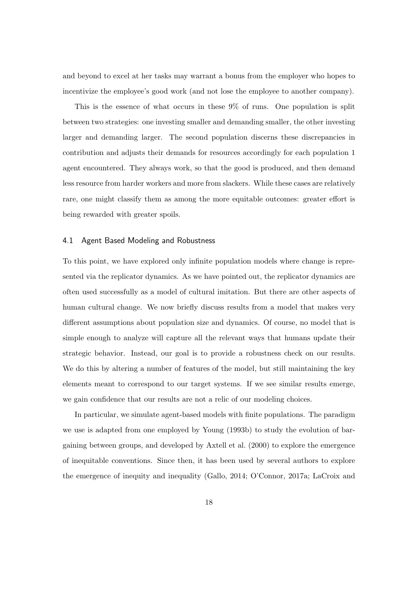and beyond to excel at her tasks may warrant a bonus from the employer who hopes to incentivize the employee's good work (and not lose the employee to another company).

This is the essence of what occurs in these 9% of runs. One population is split between two strategies: one investing smaller and demanding smaller, the other investing larger and demanding larger. The second population discerns these discrepancies in contribution and adjusts their demands for resources accordingly for each population 1 agent encountered. They always work, so that the good is produced, and then demand less resource from harder workers and more from slackers. While these cases are relatively rare, one might classify them as among the more equitable outcomes: greater effort is being rewarded with greater spoils.

#### 4.1 Agent Based Modeling and Robustness

To this point, we have explored only infinite population models where change is represented via the replicator dynamics. As we have pointed out, the replicator dynamics are often used successfully as a model of cultural imitation. But there are other aspects of human cultural change. We now briefly discuss results from a model that makes very different assumptions about population size and dynamics. Of course, no model that is simple enough to analyze will capture all the relevant ways that humans update their strategic behavior. Instead, our goal is to provide a robustness check on our results. We do this by altering a number of features of the model, but still maintaining the key elements meant to correspond to our target systems. If we see similar results emerge, we gain confidence that our results are not a relic of our modeling choices.

In particular, we simulate agent-based models with finite populations. The paradigm we use is adapted from one employed by Young (1993b) to study the evolution of bargaining between groups, and developed by Axtell et al. (2000) to explore the emergence of inequitable conventions. Since then, it has been used by several authors to explore the emergence of inequity and inequality (Gallo, 2014; O'Connor, 2017a; LaCroix and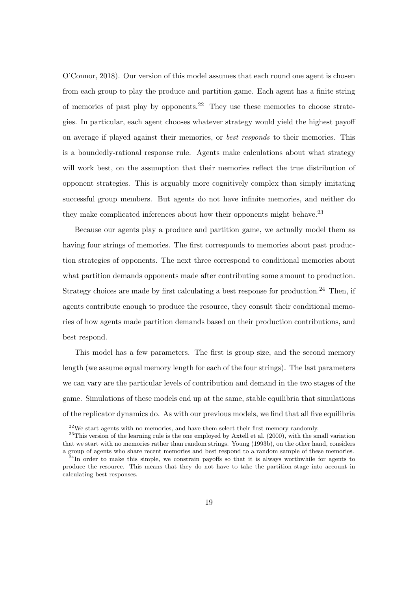O'Connor, 2018). Our version of this model assumes that each round one agent is chosen from each group to play the produce and partition game. Each agent has a finite string of memories of past play by opponents.<sup>22</sup> They use these memories to choose strategies. In particular, each agent chooses whatever strategy would yield the highest payoff on average if played against their memories, or best responds to their memories. This is a boundedly-rational response rule. Agents make calculations about what strategy will work best, on the assumption that their memories reflect the true distribution of opponent strategies. This is arguably more cognitively complex than simply imitating successful group members. But agents do not have infinite memories, and neither do they make complicated inferences about how their opponents might behave.<sup>23</sup>

Because our agents play a produce and partition game, we actually model them as having four strings of memories. The first corresponds to memories about past production strategies of opponents. The next three correspond to conditional memories about what partition demands opponents made after contributing some amount to production. Strategy choices are made by first calculating a best response for production.<sup>24</sup> Then, if agents contribute enough to produce the resource, they consult their conditional memories of how agents made partition demands based on their production contributions, and best respond.

This model has a few parameters. The first is group size, and the second memory length (we assume equal memory length for each of the four strings). The last parameters we can vary are the particular levels of contribution and demand in the two stages of the game. Simulations of these models end up at the same, stable equilibria that simulations of the replicator dynamics do. As with our previous models, we find that all five equilibria

 $22$ We start agents with no memories, and have them select their first memory randomly.

 $23$ This version of the learning rule is the one employed by Axtell et al. (2000), with the small variation that we start with no memories rather than random strings. Young (1993b), on the other hand, considers a group of agents who share recent memories and best respond to a random sample of these memories.

 $24$ In order to make this simple, we constrain payoffs so that it is always worthwhile for agents to produce the resource. This means that they do not have to take the partition stage into account in calculating best responses.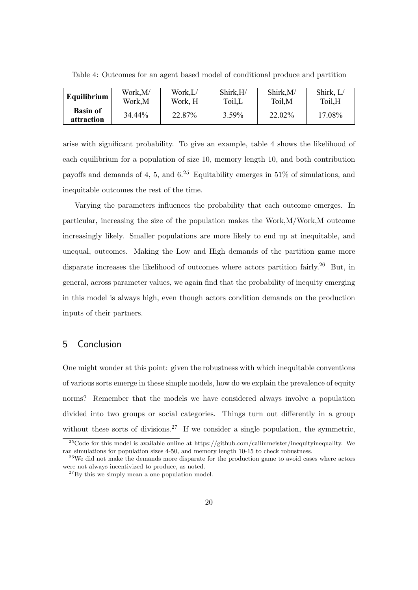| Equilibrium                   | Work,M/ | Work,L/ | Shirk,H/ | Shirk, M/ | Shirk, L/ |
|-------------------------------|---------|---------|----------|-----------|-----------|
|                               | Work,M  | Work, H | Toil,L   | Toil, M   | Toil,H    |
| <b>Basin of</b><br>attraction | 34.44%  | 22.87%  | 3.59%    | 22.02%    | 17.08%    |

Table 4: Outcomes for an agent based model of conditional produce and partition

arise with significant probability. To give an example, table 4 shows the likelihood of each equilibrium for a population of size 10, memory length 10, and both contribution payoffs and demands of 4, 5, and  $6^{25}$  Equitability emerges in 51% of simulations, and inequitable outcomes the rest of the time.

Varying the parameters influences the probability that each outcome emerges. In particular, increasing the size of the population makes the Work,M/Work,M outcome increasingly likely. Smaller populations are more likely to end up at inequitable, and unequal, outcomes. Making the Low and High demands of the partition game more disparate increases the likelihood of outcomes where actors partition fairly.<sup>26</sup> But, in general, across parameter values, we again find that the probability of inequity emerging in this model is always high, even though actors condition demands on the production inputs of their partners.

## 5 Conclusion

One might wonder at this point: given the robustness with which inequitable conventions of various sorts emerge in these simple models, how do we explain the prevalence of equity norms? Remember that the models we have considered always involve a population divided into two groups or social categories. Things turn out differently in a group without these sorts of divisions.<sup>27</sup> If we consider a single population, the symmetric,

<sup>&</sup>lt;sup>25</sup>Code for this model is available online at https://github.com/cailinmeister/inequityinequality. We ran simulations for population sizes 4-50, and memory length 10-15 to check robustness.

 $26$ We did not make the demands more disparate for the production game to avoid cases where actors were not always incentivized to produce, as noted.

 $^{27}$ By this we simply mean a one population model.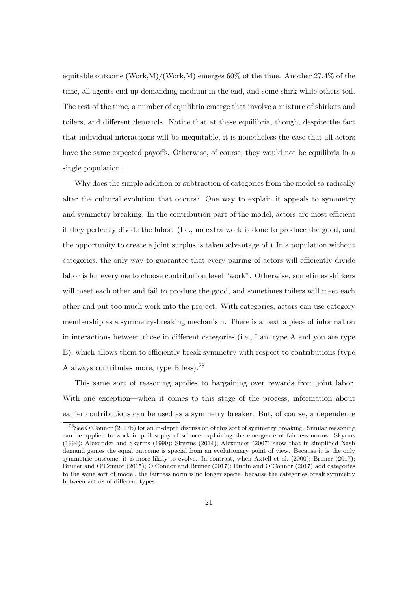equitable outcome  $(\text{Work}, M)/(\text{Work}, M)$  emerges 60% of the time. Another 27.4% of the time, all agents end up demanding medium in the end, and some shirk while others toil. The rest of the time, a number of equilibria emerge that involve a mixture of shirkers and toilers, and different demands. Notice that at these equilibria, though, despite the fact that individual interactions will be inequitable, it is nonetheless the case that all actors have the same expected payoffs. Otherwise, of course, they would not be equilibria in a single population.

Why does the simple addition or subtraction of categories from the model so radically alter the cultural evolution that occurs? One way to explain it appeals to symmetry and symmetry breaking. In the contribution part of the model, actors are most efficient if they perfectly divide the labor. (I.e., no extra work is done to produce the good, and the opportunity to create a joint surplus is taken advantage of.) In a population without categories, the only way to guarantee that every pairing of actors will efficiently divide labor is for everyone to choose contribution level "work". Otherwise, sometimes shirkers will meet each other and fail to produce the good, and sometimes toilers will meet each other and put too much work into the project. With categories, actors can use category membership as a symmetry-breaking mechanism. There is an extra piece of information in interactions between those in different categories (i.e., I am type A and you are type B), which allows them to efficiently break symmetry with respect to contributions (type A always contributes more, type B less).<sup>28</sup>

This same sort of reasoning applies to bargaining over rewards from joint labor. With one exception—when it comes to this stage of the process, information about earlier contributions can be used as a symmetry breaker. But, of course, a dependence

<sup>28</sup>See O'Connor (2017b) for an in-depth discussion of this sort of symmetry breaking. Similar reasoning can be applied to work in philosophy of science explaining the emergence of fairness norms. Skyrms (1994); Alexander and Skyrms (1999); Skyrms (2014); Alexander (2007) show that in simplified Nash demand games the equal outcome is special from an evolutionary point of view. Because it is the only symmetric outcome, it is more likely to evolve. In contrast, when Axtell et al. (2000); Bruner (2017); Bruner and O'Connor (2015); O'Connor and Bruner (2017); Rubin and O'Connor (2017) add categories to the same sort of model, the fairness norm is no longer special because the categories break symmetry between actors of different types.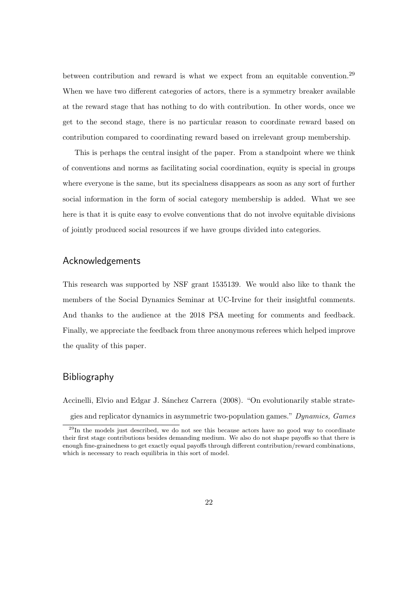between contribution and reward is what we expect from an equitable convention.<sup>29</sup> When we have two different categories of actors, there is a symmetry breaker available at the reward stage that has nothing to do with contribution. In other words, once we get to the second stage, there is no particular reason to coordinate reward based on contribution compared to coordinating reward based on irrelevant group membership.

This is perhaps the central insight of the paper. From a standpoint where we think of conventions and norms as facilitating social coordination, equity is special in groups where everyone is the same, but its specialness disappears as soon as any sort of further social information in the form of social category membership is added. What we see here is that it is quite easy to evolve conventions that do not involve equitable divisions of jointly produced social resources if we have groups divided into categories.

### Acknowledgements

This research was supported by NSF grant 1535139. We would also like to thank the members of the Social Dynamics Seminar at UC-Irvine for their insightful comments. And thanks to the audience at the 2018 PSA meeting for comments and feedback. Finally, we appreciate the feedback from three anonymous referees which helped improve the quality of this paper.

#### Bibliography

Accinelli, Elvio and Edgar J. Sánchez Carrera (2008). "On evolutionarily stable strategies and replicator dynamics in asymmetric two-population games." Dynamics, Games

 $^{29}$ In the models just described, we do not see this because actors have no good way to coordinate their first stage contributions besides demanding medium. We also do not shape payoffs so that there is enough fine-grainedness to get exactly equal payoffs through different contribution/reward combinations, which is necessary to reach equilibria in this sort of model.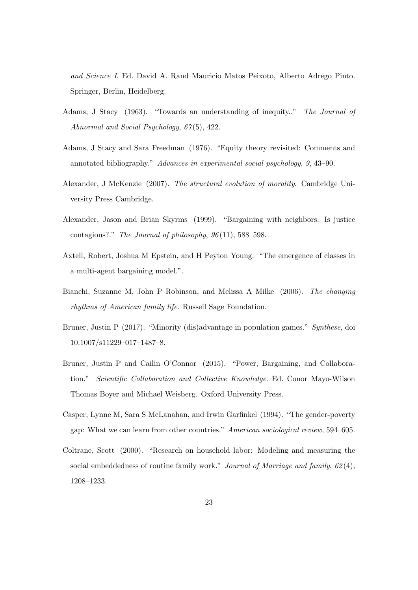and Science I. Ed. David A. Rand Mauricio Matos Peixoto, Alberto Adrego Pinto. Springer, Berlin, Heidelberg.

- Adams, J Stacy (1963). "Towards an understanding of inequity.." The Journal of Abnormal and Social Psychology, 67(5), 422.
- Adams, J Stacy and Sara Freedman (1976). "Equity theory revisited: Comments and annotated bibliography." Advances in experimental social psychology, 9, 43–90.
- Alexander, J McKenzie (2007). The structural evolution of morality. Cambridge University Press Cambridge.
- Alexander, Jason and Brian Skyrms (1999). "Bargaining with neighbors: Is justice contagious?." The Journal of philosophy,  $96(11)$ , 588–598.
- Axtell, Robert, Joshua M Epstein, and H Peyton Young. "The emergence of classes in a multi-agent bargaining model.".
- Bianchi, Suzanne M, John P Robinson, and Melissa A Milke (2006). The changing rhythms of American family life. Russell Sage Foundation.
- Bruner, Justin P (2017). "Minority (dis)advantage in population games." Synthese, doi 10.1007/s11229–017–1487–8.
- Bruner, Justin P and Cailin O'Connor (2015). "Power, Bargaining, and Collaboration." Scientific Collaboration and Collective Knowledge. Ed. Conor Mayo-Wilson Thomas Boyer and Michael Weisberg. Oxford University Press.
- Casper, Lynne M, Sara S McLanahan, and Irwin Garfinkel (1994). "The gender-poverty gap: What we can learn from other countries." American sociological review, 594–605.
- Coltrane, Scott (2000). "Research on household labor: Modeling and measuring the social embeddedness of routine family work." Journal of Marriage and family,  $62(4)$ , 1208–1233.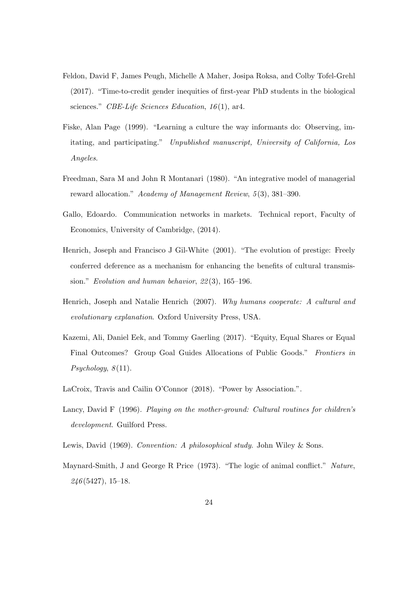- Feldon, David F, James Peugh, Michelle A Maher, Josipa Roksa, and Colby Tofel-Grehl (2017). "Time-to-credit gender inequities of first-year PhD students in the biological sciences." CBE-Life Sciences Education,  $16(1)$ , ar4.
- Fiske, Alan Page (1999). "Learning a culture the way informants do: Observing, imitating, and participating." Unpublished manuscript, University of California, Los Angeles.
- Freedman, Sara M and John R Montanari (1980). "An integrative model of managerial reward allocation." Academy of Management Review, 5(3), 381-390.
- Gallo, Edoardo. Communication networks in markets. Technical report, Faculty of Economics, University of Cambridge, (2014).
- Henrich, Joseph and Francisco J Gil-White (2001). "The evolution of prestige: Freely conferred deference as a mechanism for enhancing the benefits of cultural transmission." Evolution and human behavior, 22 (3), 165–196.
- Henrich, Joseph and Natalie Henrich (2007). Why humans cooperate: A cultural and evolutionary explanation. Oxford University Press, USA.
- Kazemi, Ali, Daniel Eek, and Tommy Gaerling (2017). "Equity, Equal Shares or Equal Final Outcomes? Group Goal Guides Allocations of Public Goods." Frontiers in  $Psychology, 8(11).$
- LaCroix, Travis and Cailin O'Connor (2018). "Power by Association.".
- Lancy, David F (1996). Playing on the mother-ground: Cultural routines for children's development. Guilford Press.
- Lewis, David (1969). Convention: A philosophical study. John Wiley & Sons.
- Maynard-Smith, J and George R Price (1973). "The logic of animal conflict." Nature,  $246(5427), 15-18.$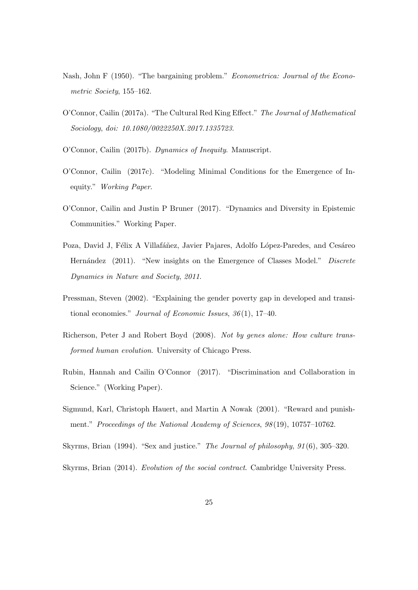- Nash, John F (1950). "The bargaining problem." Econometrica: Journal of the Econometric Society, 155–162.
- O'Connor, Cailin (2017a). "The Cultural Red King Effect." The Journal of Mathematical Sociology, doi: 10.1080/0022250X.2017.1335723.
- O'Connor, Cailin (2017b). Dynamics of Inequity. Manuscript.
- O'Connor, Cailin (2017c). "Modeling Minimal Conditions for the Emergence of Inequity." Working Paper.
- O'Connor, Cailin and Justin P Bruner (2017). "Dynamics and Diversity in Epistemic Communities." Working Paper.
- Poza, David J, Félix A Villafáñez, Javier Pajares, Adolfo López-Paredes, and Cesáreo Hernández (2011). "New insights on the Emergence of Classes Model." Discrete Dynamics in Nature and Society, 2011.
- Pressman, Steven (2002). "Explaining the gender poverty gap in developed and transitional economies." Journal of Economic Issues,  $36(1)$ , 17-40.
- Richerson, Peter J and Robert Boyd (2008). Not by genes alone: How culture transformed human evolution. University of Chicago Press.
- Rubin, Hannah and Cailin O'Connor (2017). "Discrimination and Collaboration in Science." (Working Paper).
- Sigmund, Karl, Christoph Hauert, and Martin A Nowak (2001). "Reward and punishment." Proceedings of the National Academy of Sciences,  $98(19)$ , 10757-10762.
- Skyrms, Brian (1994). "Sex and justice." The Journal of philosophy, 91 (6), 305–320.

Skyrms, Brian (2014). Evolution of the social contract. Cambridge University Press.